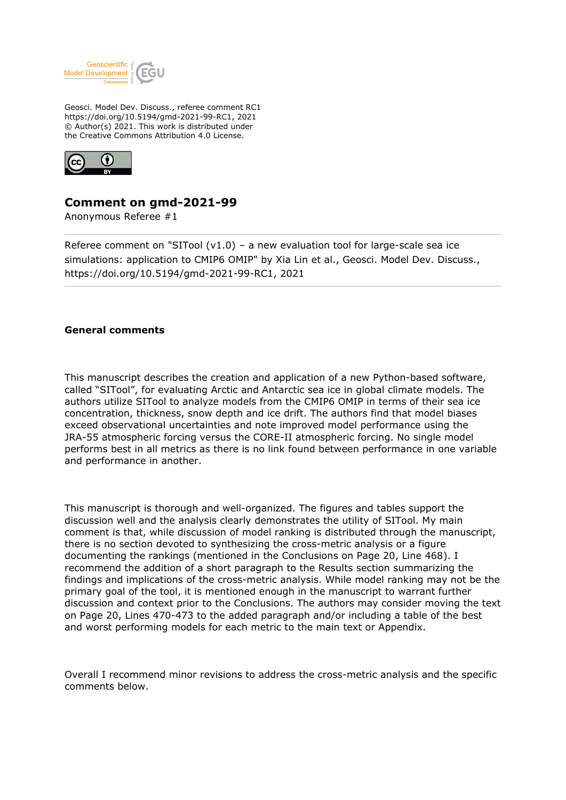

Geosci. Model Dev. Discuss., referee comment RC1 https://doi.org/10.5194/gmd-2021-99-RC1, 2021 © Author(s) 2021. This work is distributed under the Creative Commons Attribution 4.0 License.



## **Comment on gmd-2021-99**

Anonymous Referee #1

Referee comment on "SITool  $(v1.0)$  – a new evaluation tool for large-scale sea ice simulations: application to CMIP6 OMIP" by Xia Lin et al., Geosci. Model Dev. Discuss., https://doi.org/10.5194/gmd-2021-99-RC1, 2021

## **General comments**

This manuscript describes the creation and application of a new Python-based software, called "SITool", for evaluating Arctic and Antarctic sea ice in global climate models. The authors utilize SITool to analyze models from the CMIP6 OMIP in terms of their sea ice concentration, thickness, snow depth and ice drift. The authors find that model biases exceed observational uncertainties and note improved model performance using the JRA-55 atmospheric forcing versus the CORE-II atmospheric forcing. No single model performs best in all metrics as there is no link found between performance in one variable and performance in another.

This manuscript is thorough and well-organized. The figures and tables support the discussion well and the analysis clearly demonstrates the utility of SITool. My main comment is that, while discussion of model ranking is distributed through the manuscript, there is no section devoted to synthesizing the cross-metric analysis or a figure documenting the rankings (mentioned in the Conclusions on Page 20, Line 468). I recommend the addition of a short paragraph to the Results section summarizing the findings and implications of the cross-metric analysis. While model ranking may not be the primary goal of the tool, it is mentioned enough in the manuscript to warrant further discussion and context prior to the Conclusions. The authors may consider moving the text on Page 20, Lines 470-473 to the added paragraph and/or including a table of the best and worst performing models for each metric to the main text or Appendix.

Overall I recommend minor revisions to address the cross-metric analysis and the specific comments below.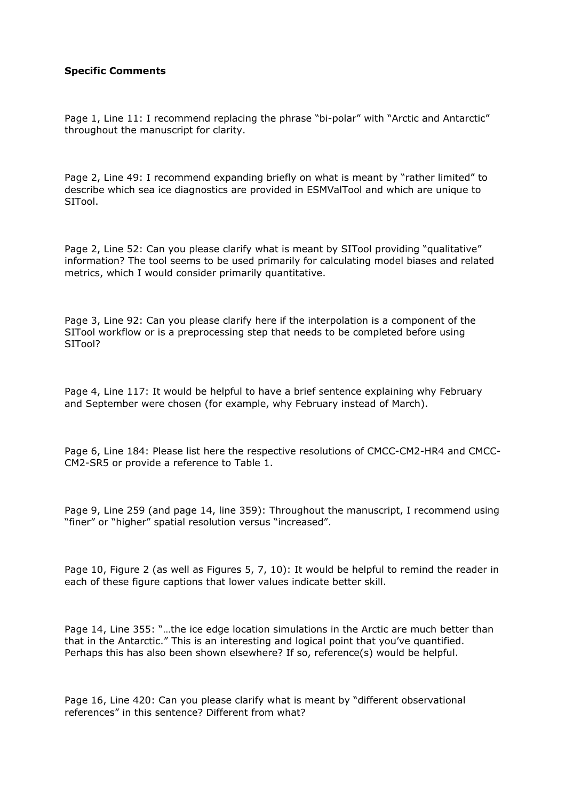## **Specific Comments**

Page 1, Line 11: I recommend replacing the phrase "bi-polar" with "Arctic and Antarctic" throughout the manuscript for clarity.

Page 2, Line 49: I recommend expanding briefly on what is meant by "rather limited" to describe which sea ice diagnostics are provided in ESMValTool and which are unique to SITool.

Page 2, Line 52: Can you please clarify what is meant by SITool providing "qualitative" information? The tool seems to be used primarily for calculating model biases and related metrics, which I would consider primarily quantitative.

Page 3, Line 92: Can you please clarify here if the interpolation is a component of the SITool workflow or is a preprocessing step that needs to be completed before using SITool?

Page 4, Line 117: It would be helpful to have a brief sentence explaining why February and September were chosen (for example, why February instead of March).

Page 6, Line 184: Please list here the respective resolutions of CMCC-CM2-HR4 and CMCC-CM2-SR5 or provide a reference to Table 1.

Page 9, Line 259 (and page 14, line 359): Throughout the manuscript, I recommend using "finer" or "higher" spatial resolution versus "increased".

Page 10, Figure 2 (as well as Figures 5, 7, 10): It would be helpful to remind the reader in each of these figure captions that lower values indicate better skill.

Page 14, Line 355: "…the ice edge location simulations in the Arctic are much better than that in the Antarctic." This is an interesting and logical point that you've quantified. Perhaps this has also been shown elsewhere? If so, reference(s) would be helpful.

Page 16, Line 420: Can you please clarify what is meant by "different observational references" in this sentence? Different from what?